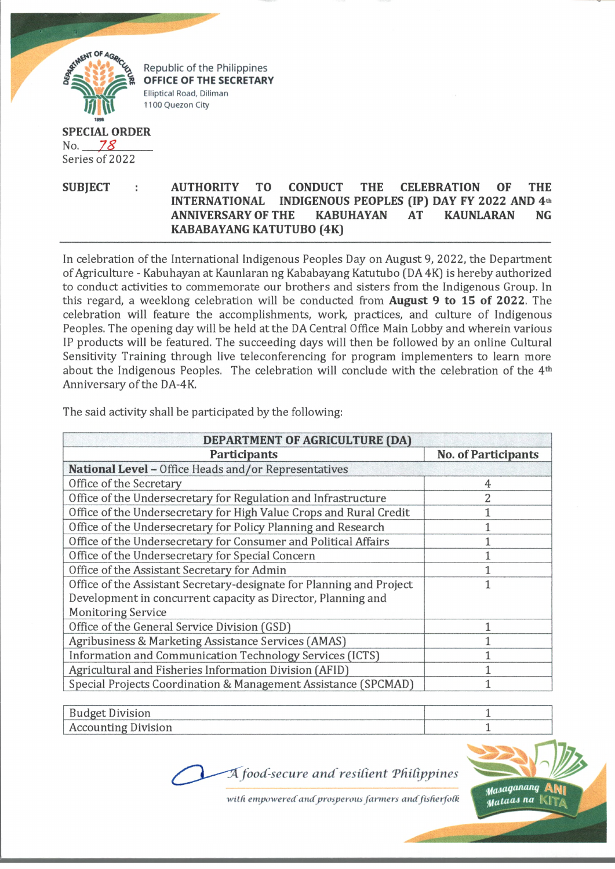

Republic of the Philippines OFFICE OF THE SECRETARY Elliptical Road, Diliman 1100 Quezon City

## **SPECIAL ORDER** No. *7%* Series of 2022

## **SUBJECT : AUTHORITY TO CONDUCT THE CELEBRATION OF THE INTERNATIONAL INDIGENOUS PEOPLES (IP) DAY FY 2022 AND 4th ANNIVERSARY OF THE KABUHAYAN AT KAUNLARAN NG KABABAYANG KATUTUBO (4K)**

In celebration of the International Indigenous Peoples Day on August 9, *2022,* the Department of Agriculture - Kabuhayan at Kaunlaran ng Kababayang Katutubo (DA 4K) is hereby authorized to conduct activities to commemorate our brothers and sisters from the Indigenous Group. In this regard, a weeklong celebration will be conducted from **August 9 to 15 of 2022.** The celebration will feature the accomplishments, work, practices, and culture of Indigenous Peoples. The opening day will be held at the DA Central Office Main Lobby and wherein various IP products will be featured. The succeeding days will then be followed by an online Cultural Sensitivity Training through live teleconferencing for program implementers to learn more about the Indigenous Peoples. The celebration will conclude with the celebration of the 4<sup>th</sup> Anniversary of the DA-4K.

| <b>DEPARTMENT OF AGRICULTURE (DA)</b>                                |                            |
|----------------------------------------------------------------------|----------------------------|
| Participants                                                         | <b>No. of Participants</b> |
| National Level - Office Heads and/or Representatives                 |                            |
| Office of the Secretary                                              | 4                          |
| Office of the Undersecretary for Regulation and Infrastructure       | 2                          |
| Office of the Undersecretary for High Value Crops and Rural Credit   |                            |
| Office of the Undersecretary for Policy Planning and Research        |                            |
| Office of the Undersecretary for Consumer and Political Affairs      |                            |
| Office of the Undersecretary for Special Concern                     |                            |
| Office of the Assistant Secretary for Admin                          |                            |
| Office of the Assistant Secretary-designate for Planning and Project |                            |
| Development in concurrent capacity as Director, Planning and         |                            |
| <b>Monitoring Service</b>                                            |                            |
| Office of the General Service Division (GSD)                         |                            |
| Agribusiness & Marketing Assistance Services (AMAS)                  |                            |
| Information and Communication Technology Services (ICTS)             |                            |
| Agricultural and Fisheries Information Division (AFID)               |                            |
| Special Projects Coordination & Management Assistance (SPCMAD)       |                            |

The said activity shall be participated by the following:

| Budget Division            |  |
|----------------------------|--|
| <b>Accounting Division</b> |  |
|                            |  |

A food-secure and resilient Philippines



with empowered and prosperous farmers and fisherfolk